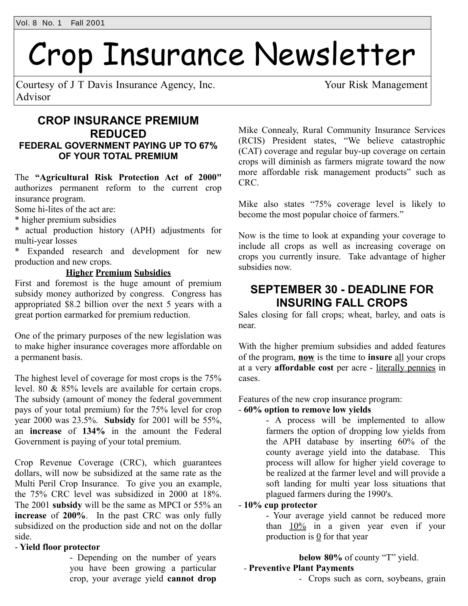# Crop Insurance Newsletter

Courtesy of J T Davis Insurance Agency, Inc. Your Risk Management Advisor

## **CROP INSURANCE PREMIUM REDUCED FEDERAL GOVERNMENT PAYING UP TO 67% OF YOUR TOTAL PREMIUM**

The **"Agricultural Risk Protection Act of 2000"** authorizes permanent reform to the current crop insurance program.

Some hi-lites of the act are:

\* higher premium subsidies

\* actual production history (APH) adjustments for multi-year losses

\* Expanded research and development for new production and new crops.

#### **Higher Premium Subsidies**

First and foremost is the huge amount of premium subsidy money authorized by congress. Congress has appropriated \$8.2 billion over the next 5 years with a great portion earmarked for premium reduction.

One of the primary purposes of the new legislation was to make higher insurance coverages more affordable on a permanent basis.

The highest level of coverage for most crops is the 75% level. 80 & 85% levels are available for certain crops. The subsidy (amount of money the federal government pays of your total premium) for the 75% level for crop year 2000 was 23.5%. **Subsidy** for 2001 will be 55%, an **increase** of **134%** in the amount the Federal Government is paying of your total premium.

Crop Revenue Coverage (CRC), which guarantees dollars, will now be subsidized at the same rate as the Multi Peril Crop Insurance. To give you an example, the 75% CRC level was subsidized in 2000 at 18%. The 2001 **subsidy** will be the same as MPCI or 55% an **increase** of **200%**. In the past CRC was only fully subsidized on the production side and not on the dollar side.

#### - **Yield floor protector**

- Depending on the number of years you have been growing a particular crop, your average yield **cannot drop**

Mike Connealy, Rural Community Insurance Services (RCIS) President states, "We believe catastrophic (CAT) coverage and regular buy-up coverage on certain crops will diminish as farmers migrate toward the now more affordable risk management products" such as CRC.

Mike also states "75% coverage level is likely to become the most popular choice of farmers."

Now is the time to look at expanding your coverage to include all crops as well as increasing coverage on crops you currently insure. Take advantage of higher subsidies now.

## **SEPTEMBER 30 - DEADLINE FOR INSURING FALL CROPS**

Sales closing for fall crops; wheat, barley, and oats is near.

With the higher premium subsidies and added features of the program, **now** is the time to **insure** all your crops at a very **affordable cost** per acre - literally pennies in cases.

Features of the new crop insurance program:

#### - **60% option to remove low yields**

- A process will be implemented to allow farmers the option of dropping low yields from the APH database by inserting 60% of the county average yield into the database. This process will allow for higher yield coverage to be realized at the farmer level and will provide a soft landing for multi year loss situations that plagued farmers during the 1990's.

#### - **10% cup protector**

- Your average yield cannot be reduced more than  $10\%$  in a given year even if your production is  $\overline{0}$  for that year

## **below 80%** of county "T" yield.

### - **Preventive Plant Payments**

- Crops such as corn, soybeans, grain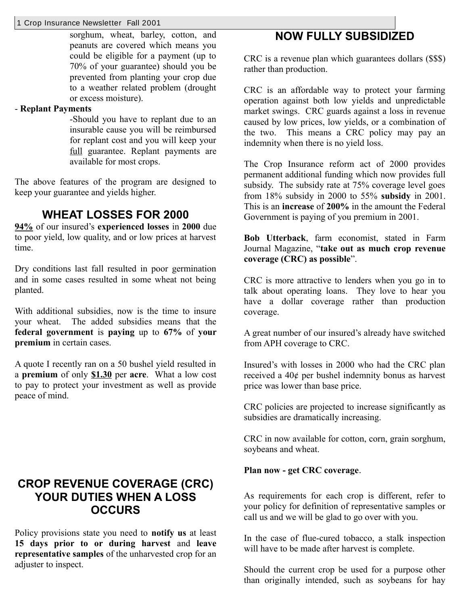#### 1 Crop Insurance Newsletter Fall 2001

sorghum, wheat, barley, cotton, and peanuts are covered which means you could be eligible for a payment (up to 70% of your guarantee) should you be prevented from planting your crop due to a weather related problem (drought or excess moisture).

#### - **Replant Payments**

-Should you have to replant due to an insurable cause you will be reimbursed for replant cost and you will keep your full guarantee. Replant payments are available for most crops.

The above features of the program are designed to keep your guarantee and yields higher.

## **WHEAT LOSSES FOR 2000**

**94%** of our insured's **experienced losses** in **2000** due to poor yield, low quality, and or low prices at harvest time.

Dry conditions last fall resulted in poor germination and in some cases resulted in some wheat not being planted.

With additional subsidies, now is the time to insure your wheat. The added subsidies means that the **federal government** is **paying** up to **67%** of **your premium** in certain cases.

A quote I recently ran on a 50 bushel yield resulted in a **premium** of only **\$1.30** per **acre**. What a low cost to pay to protect your investment as well as provide peace of mind.

## **CROP REVENUE COVERAGE (CRC) YOUR DUTIES WHEN A LOSS OCCURS**

Policy provisions state you need to **notify us** at least **15 days prior to or during harvest** and **leave representative samples** of the unharvested crop for an adjuster to inspect.

## **NOW FULLY SUBSIDIZED**

CRC is a revenue plan which guarantees dollars (\$\$\$) rather than production.

CRC is an affordable way to protect your farming operation against both low yields and unpredictable market swings. CRC guards against a loss in revenue caused by low prices, low yields, or a combination of the two. This means a CRC policy may pay an indemnity when there is no yield loss.

The Crop Insurance reform act of 2000 provides permanent additional funding which now provides full subsidy. The subsidy rate at 75% coverage level goes from 18% subsidy in 2000 to 55% **subsidy** in 2001. This is an **increase** of **200%** in the amount the Federal Government is paying of you premium in 2001.

**Bob Utterback**, farm economist, stated in Farm Journal Magazine, "**take out as much crop revenue coverage (CRC) as possible**".

CRC is more attractive to lenders when you go in to talk about operating loans. They love to hear you have a dollar coverage rather than production coverage.

A great number of our insured's already have switched from APH coverage to CRC.

Insured's with losses in 2000 who had the CRC plan received a 40¢ per bushel indemnity bonus as harvest price was lower than base price.

CRC policies are projected to increase significantly as subsidies are dramatically increasing.

CRC in now available for cotton, corn, grain sorghum, soybeans and wheat.

#### **Plan now - get CRC coverage**.

As requirements for each crop is different, refer to your policy for definition of representative samples or call us and we will be glad to go over with you.

In the case of flue-cured tobacco, a stalk inspection will have to be made after harvest is complete.

Should the current crop be used for a purpose other than originally intended, such as soybeans for hay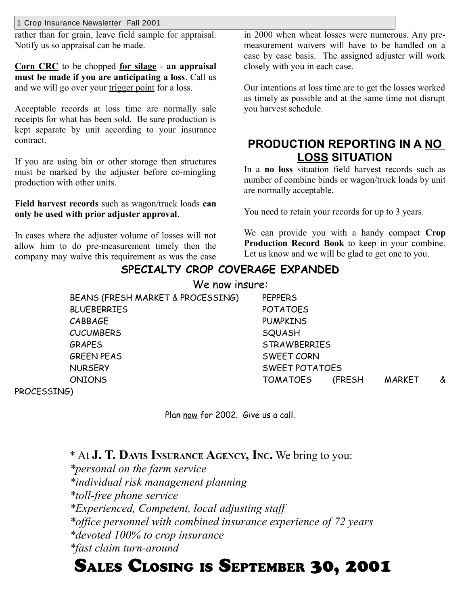1 Crop Insurance Newsletter Fall 2001

rather than for grain, leave field sample for appraisal. Notify us so appraisal can be made.

**Corn CRC** to be chopped **for silage** - **an appraisal must be made if you are anticipating a loss**. Call us and we will go over your trigger point for a loss.

Acceptable records at loss time are normally sale receipts for what has been sold. Be sure production is kept separate by unit according to your insurance contract.

If you are using bin or other storage then structures must be marked by the adjuster before co-mingling production with other units.

**Field harvest records** such as wagon/truck loads **can only be used with prior adjuster approval**.

In cases where the adjuster volume of losses will not allow him to do pre-measurement timely then the company may waive this requirement as was the case

in 2000 when wheat losses were numerous. Any premeasurement waivers will have to be handled on a case by case basis. The assigned adjuster will work closely with you in each case.

Our intentions at loss time are to get the losses worked as timely as possible and at the same time not disrupt you harvest schedule.

## **PRODUCTION REPORTING IN A NO LOSS SITUATION**

In a **no loss** situation field harvest records such as number of combine binds or wagon/truck loads by unit are normally acceptable.

You need to retain your records for up to 3 years.

We can provide you with a handy compact **Crop Production Record Book** to keep in your combine. Let us know and we will be glad to get one to you.

## **SPECIALTY CROP COVERAGE EXPANDED** We now insure:

BEANS (FRESH MARKET & PROCESSING) PEPPERS BLUEBERRIES POTATOES CABBAGE PUMPKINS CUCUMBERS SQUASH GRAPES STRAWBERRIES GREEN PEAS SWEET CORN NURSERY SWEET POTATOES ONIONS TOMATOES (FRESH MARKET &

PROCESSING)

Plan now for 2002. Give us a call.

## \* At **J. T. DAVIS INSURANCE AGENCY, INC.** We bring to you:

*\*personal on the farm service \*individual risk management planning \*toll-free phone service \*Experienced, Competent, local adjusting staff \*office personnel with combined insurance experience of 72 years \*devoted 100% to crop insurance \*fast claim turn-around*

# SALES CLOSING IS SEPTEMBER 30, 2001